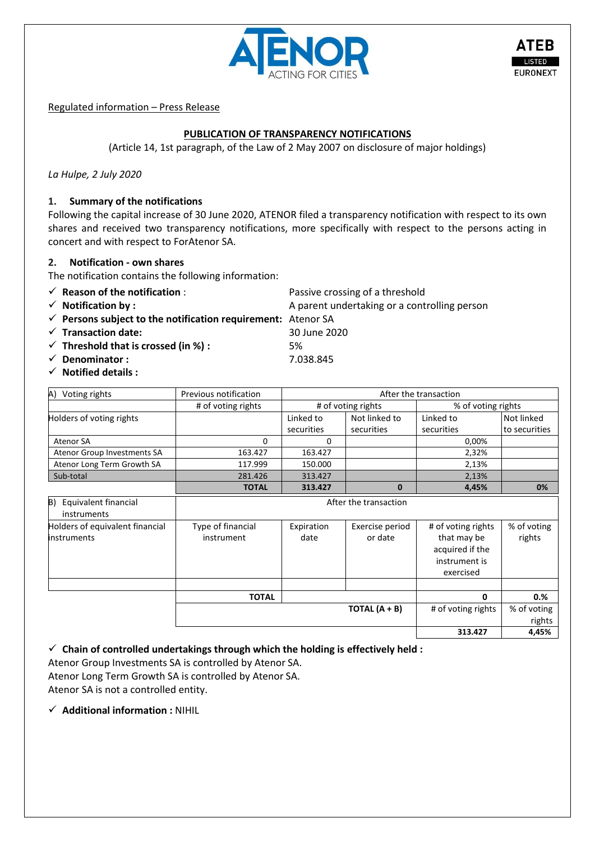

Regulated information – Press Release

# **PUBLICATION OF TRANSPARENCY NOTIFICATIONS**

(Article 14, 1st paragraph, of the Law of 2 May 2007 on disclosure of major holdings)

*La Hulpe, 2 July 2020*

### **1. Summary of the notifications**

Following the capital increase of 30 June 2020, ATENOR filed a transparency notification with respect to its own shares and received two transparency notifications, more specifically with respect to the persons acting in concert and with respect to ForAtenor SA.

### **2. Notification - own shares**

- The notification contains the following information:
- ✓ **Reason of the notification** : Passive crossing of a threshold
- 
- ✓ **Persons subject to the notification requirement:** Atenor SA
- ✓ **Transaction date:** 30 June 2020
- ✓ **Threshold that is crossed (in %) :** 5%
- ✓ **Denominator :** 7.038.845
- ✓ **Notified details :**

| Voting rights<br>A)         | Previous notification | After the transaction |               |                    |               |  |
|-----------------------------|-----------------------|-----------------------|---------------|--------------------|---------------|--|
|                             | # of voting rights    | # of voting rights    |               | % of voting rights |               |  |
| Holders of voting rights    |                       | Linked to             | Not linked to | Linked to          | Not linked    |  |
|                             |                       | securities            | securities    | securities         | to securities |  |
| Atenor SA                   |                       |                       |               | 0.00%              |               |  |
| Atenor Group Investments SA | 163.427               | 163.427               |               | 2,32%              |               |  |
| Atenor Long Term Growth SA  | 117.999               | 150.000               |               | 2,13%              |               |  |
| Sub-total                   | 281.426               | 313.427               |               | 2,13%              |               |  |
|                             | <b>TOTAL</b>          | 313.427               | 0             | 4,45%              | 0%            |  |

| B) Equivalent financial<br>instruments                | After the transaction           |                    |                            |                                                                                    |                       |  |  |
|-------------------------------------------------------|---------------------------------|--------------------|----------------------------|------------------------------------------------------------------------------------|-----------------------|--|--|
| Holders of equivalent financial<br><b>instruments</b> | Type of financial<br>instrument | Expiration<br>date | Exercise period<br>or date | # of voting rights<br>that may be<br>acquired if the<br>instrument is<br>exercised | % of voting<br>rights |  |  |
|                                                       |                                 |                    |                            |                                                                                    |                       |  |  |
|                                                       | <b>TOTAL</b>                    |                    |                            | 0                                                                                  | 0.%                   |  |  |
|                                                       |                                 |                    | TOTAL $(A + B)$            | # of voting rights                                                                 | % of voting<br>rights |  |  |
|                                                       |                                 |                    |                            | 313.427                                                                            | 4,45%                 |  |  |

✓ **Chain of controlled undertakings through which the holding is effectively held :**

Atenor Group Investments SA is controlled by Atenor SA. Atenor Long Term Growth SA is controlled by Atenor SA.

Atenor SA is not a controlled entity.

✓ **Additional information :** NIHIL

✓ **Notification by :** A parent undertaking or a controlling person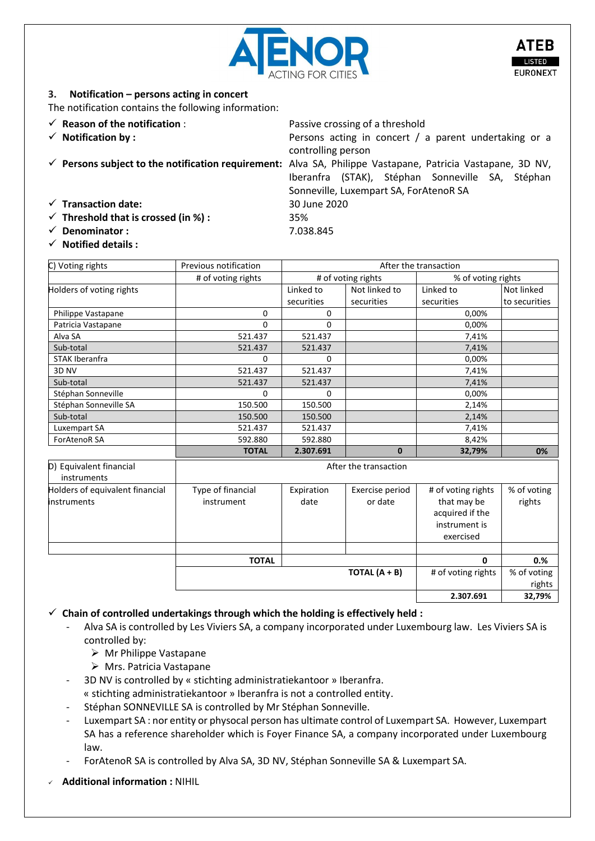

controlling person

Iberanfra (STAK), Stéphan Sonneville SA, Stéphan

Sonneville, Luxempart SA, ForAtenoR SA

**2.307.691 32,79%**

# **3. Notification – persons acting in concert**

The notification contains the following information:

- ✓ **Reason of the notification** : Passive crossing of a threshold
- ✓ **Notification by :** Persons acting in concert / a parent undertaking or a
- ✓ **Persons subject to the notification requirement:** Alva SA, Philippe Vastapane, Patricia Vastapane, 3D NV,
- ✓ **Transaction date:** 30 June 2020
- ✓ **Threshold that is crossed (in %) :** 35%
- ✓ **Denominator :** 7.038.845
- ✓ **Notified details :**

| C) Voting rights                       | Previous notification | After the transaction |                 |                                |                       |
|----------------------------------------|-----------------------|-----------------------|-----------------|--------------------------------|-----------------------|
|                                        | # of voting rights    | # of voting rights    |                 | % of voting rights             |                       |
| Holders of voting rights               |                       | Linked to             | Not linked to   | Linked to                      | Not linked            |
|                                        |                       | securities            | securities      | securities                     | to securities         |
| Philippe Vastapane                     | 0                     | 0                     |                 | 0,00%                          |                       |
| Patricia Vastapane                     | $\Omega$              | $\Omega$              |                 | 0,00%                          |                       |
| Alva SA                                | 521.437               | 521.437               |                 | 7,41%                          |                       |
| Sub-total                              | 521.437               | 521.437               |                 | 7,41%                          |                       |
| STAK Iberanfra                         | $\Omega$              | 0                     |                 | 0,00%                          |                       |
| 3D NV                                  | 521.437               | 521.437               |                 | 7,41%                          |                       |
| Sub-total                              | 521.437               | 521.437               |                 | 7,41%                          |                       |
| Stéphan Sonneville                     | $\Omega$              | 0                     |                 | 0,00%                          |                       |
| Stéphan Sonneville SA                  | 150.500               | 150.500               |                 | 2,14%                          |                       |
| Sub-total                              | 150.500               | 150.500               |                 | 2,14%                          |                       |
| Luxempart SA                           | 521.437               | 521.437               |                 | 7,41%                          |                       |
| <b>ForAtenoR SA</b>                    | 592.880               | 592.880               |                 | 8,42%                          |                       |
|                                        | <b>TOTAL</b>          | 2.307.691             | $\mathbf{0}$    | 32,79%                         | 0%                    |
| D) Equivalent financial<br>instruments | After the transaction |                       |                 |                                |                       |
| Holders of equivalent financial        | Type of financial     | Expiration            | Exercise period | # of voting rights             | % of voting           |
| <b>instruments</b>                     | instrument            | date                  | or date         | that may be<br>acquired if the | rights                |
|                                        |                       |                       |                 | instrument is                  |                       |
|                                        |                       |                       |                 | exercised                      |                       |
|                                        |                       |                       |                 |                                |                       |
|                                        | <b>TOTAL</b>          |                       |                 | $\mathbf{0}$                   | 0.%                   |
|                                        |                       |                       | TOTAL $(A + B)$ | # of voting rights             | % of voting<br>rights |

#### ✓ **Chain of controlled undertakings through which the holding is effectively held :**

- Alva SA is controlled by Les Viviers SA, a company incorporated under Luxembourg law. Les Viviers SA is controlled by:
	- $\triangleright$  Mr Philippe Vastapane
	- ➢ Mrs. Patricia Vastapane
- 3D NV is controlled by « stichting administratiekantoor » Iberanfra.
- « stichting administratiekantoor » Iberanfra is not a controlled entity.
- Stéphan SONNEVILLE SA is controlled by Mr Stéphan Sonneville.
- Luxempart SA : nor entity or physocal person has ultimate control of Luxempart SA. However, Luxempart SA has a reference shareholder which is Foyer Finance SA, a company incorporated under Luxembourg law.
- ForAtenoR SA is controlled by Alva SA, 3D NV, Stéphan Sonneville SA & Luxempart SA.
- ✓ **Additional information :** NIHIL